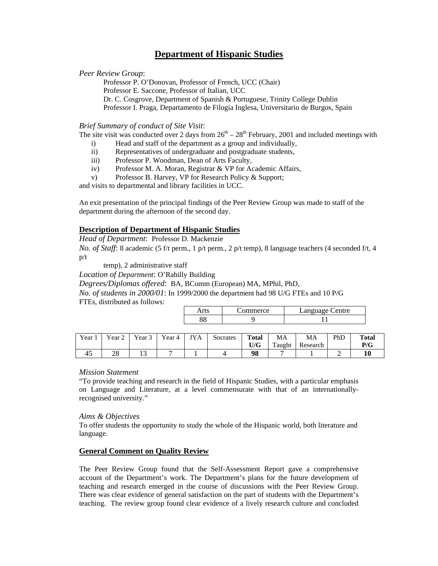# **Department of Hispanic Studies**

#### *Peer Review Group*:

Professor P. O'Donovan, Professor of French, UCC (Chair) Professor E. Saccone, Professor of Italian, UCC Dr. C. Cosgrove, Department of Spanish & Portuguese, Trinity College Dublin Professor I. Praga, Departamento de Filogia Inglesa, Universitario de Burgos, Spain

#### *Brief Summary of conduct of Site Visit*:

The site visit was conducted over 2 days from  $26<sup>th</sup> - 28<sup>th</sup>$  February, 2001 and included meetings with

- i) Head and staff of the department as a group and individually,
- ii) Representatives of undergraduate and postgraduate students,
- iii) Professor P. Woodman, Dean of Arts Faculty,
- iv) Professor M. A. Moran, Registrar & VP for Academic Affairs,
- v) Professor B. Harvey, VP for Research Policy & Support;

and visits to departmental and library facilities in UCC.

An exit presentation of the principal findings of the Peer Review Group was made to staff of the department during the afternoon of the second day.

### **Description of Department of Hispanic Studies**

#### *Head of Department*: Professor D. Mackenzie

*No. of Staff*: 8 academic (5 f/t perm., 1 p/t perm., 2 p/t temp), 8 language teachers (4 seconded f/t, 4 p/t

temp), 2 administrative staff

*Location of Department*: O'Rahilly Building

*Degrees/Diplomas offered*: BA, BComm (European) MA, MPhil, PhD,

*No. of students in 2000/01*: In 1999/2000 the department had 98 U/G FTEs and 10 P/G FTEs, distributed as follows:

| merce | <b>Charles Contract Contract</b><br>entre |  |
|-------|-------------------------------------------|--|
|       |                                           |  |

| Year | Year 2   | Year $\overline{S}$ | Year 4 | <b>TYA</b> | Socrates | <b>Total</b> | MA     | MA       | PhD | <b>Total</b> |
|------|----------|---------------------|--------|------------|----------|--------------|--------|----------|-----|--------------|
|      |          |                     |        |            |          | U/G          | Taught | Research |     | P/G          |
| -45  | ററ<br>40 | ⊥ J                 |        |            |          | 98           |        |          | -   |              |

#### *Mission Statement*

"To provide teaching and research in the field of Hispanic Studies, with a particular emphasis on Language and Literature, at a level commensurate with that of an internationallyrecognised university."

#### *Aims & Objectives*

To offer students the opportunity to study the whole of the Hispanic world, both literature and language.

#### **General Comment on Quality Review**

The Peer Review Group found that the Self-Assessment Report gave a comprehensive account of the Department's work. The Department's plans for the future development of teaching and research emerged in the course of discussions with the Peer Review Group. There was clear evidence of general satisfaction on the part of students with the Department's teaching. The review group found clear evidence of a lively research culture and concluded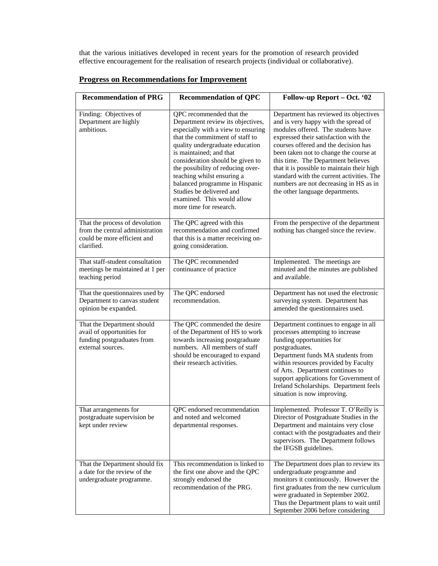that the various initiatives developed in recent years for the promotion of research provided effective encouragement for the realisation of research projects (individual or collaborative).

| <b>Recommendation of PRG</b>                                                                                   | <b>Recommendation of QPC</b>                                                                                                                                                                                                                                                                                                                                                                                                       | Follow-up Report - Oct. '02                                                                                                                                                                                                                                                                                                                                                                                                                                   |  |  |
|----------------------------------------------------------------------------------------------------------------|------------------------------------------------------------------------------------------------------------------------------------------------------------------------------------------------------------------------------------------------------------------------------------------------------------------------------------------------------------------------------------------------------------------------------------|---------------------------------------------------------------------------------------------------------------------------------------------------------------------------------------------------------------------------------------------------------------------------------------------------------------------------------------------------------------------------------------------------------------------------------------------------------------|--|--|
| Finding: Objectives of<br>Department are highly<br>ambitious.                                                  | QPC recommended that the<br>Department review its objectives,<br>especially with a view to ensuring<br>that the commitment of staff to<br>quality undergraduate education<br>is maintained; and that<br>consideration should be given to<br>the possibility of reducing over-<br>teaching whilst ensuring a<br>balanced programme in Hispanic<br>Studies be delivered and<br>examined. This would allow<br>more time for research. | Department has reviewed its objectives<br>and is very happy with the spread of<br>modules offered. The students have<br>expressed their satisfaction with the<br>courses offered and the decision has<br>been taken not to change the course at<br>this time. The Department believes<br>that it is possible to maintain their high<br>standard with the current activities. The<br>numbers are not decreasing in HS as in<br>the other language departments. |  |  |
| That the process of devolution<br>from the central administration<br>could be more efficient and<br>clarified. | The QPC agreed with this<br>recommendation and confirmed<br>that this is a matter receiving on-<br>going consideration.                                                                                                                                                                                                                                                                                                            | From the perspective of the department<br>nothing has changed since the review.                                                                                                                                                                                                                                                                                                                                                                               |  |  |
| That staff-student consultation<br>meetings be maintained at 1 per<br>teaching period                          | The QPC recommended<br>continuance of practice                                                                                                                                                                                                                                                                                                                                                                                     | Implemented. The meetings are<br>minuted and the minutes are published<br>and available.                                                                                                                                                                                                                                                                                                                                                                      |  |  |
| That the questionnaires used by<br>Department to canvas student<br>opinion be expanded.                        | The QPC endorsed<br>recommendation.                                                                                                                                                                                                                                                                                                                                                                                                | Department has not used the electronic<br>surveying system. Department has<br>amended the questionnaires used.                                                                                                                                                                                                                                                                                                                                                |  |  |
| That the Department should<br>avail of opportunities for<br>funding postgraduates from<br>external sources.    | The QPC commended the desire<br>of the Department of HS to work<br>towards increasing postgraduate<br>numbers. All members of staff<br>should be encouraged to expand<br>their research activities.                                                                                                                                                                                                                                | Department continues to engage in all<br>processes attempting to increase<br>funding opportunities for<br>postgraduates.<br>Department funds MA students from<br>within resources provided by Faculty<br>of Arts. Department continues to<br>support applications for Government of<br>Ireland Scholarships. Department feels<br>situation is now improving.                                                                                                  |  |  |
| That arrangements for<br>postgraduate supervision be<br>kept under review                                      | QPC endorsed recommendation<br>and noted and welcomed<br>departmental responses.                                                                                                                                                                                                                                                                                                                                                   | Implemented. Professor T. O'Reilly is<br>Director of Postgraduate Studies in the<br>Department and maintains very close<br>contact with the postgraduates and their<br>supervisors. The Department follows<br>the IFGSB guidelines.                                                                                                                                                                                                                           |  |  |
| That the Department should fix<br>a date for the review of the<br>undergraduate programme.                     | This recommendation is linked to<br>the first one above and the QPC<br>strongly endorsed the<br>recommendation of the PRG.                                                                                                                                                                                                                                                                                                         | The Department does plan to review its<br>undergraduate programme and<br>monitors it continuously. However the<br>first graduates from the new curriculum<br>were graduated in September 2002.<br>Thus the Department plans to wait until<br>September 2006 before considering                                                                                                                                                                                |  |  |

## **Progress on Recommendations for Improvement**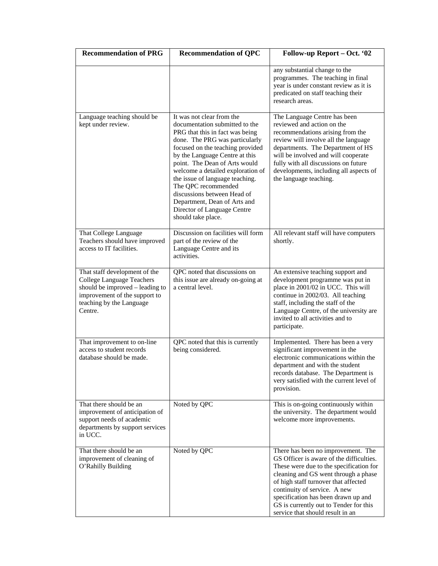| <b>Recommendation of PRG</b>                                                                                                                                          | <b>Recommendation of QPC</b>                                                                                                                                                                                                                                                                                                                                                                                                                               | Follow-up Report - Oct. '02                                                                                                                                                                                                                                                                                                                                    |  |  |
|-----------------------------------------------------------------------------------------------------------------------------------------------------------------------|------------------------------------------------------------------------------------------------------------------------------------------------------------------------------------------------------------------------------------------------------------------------------------------------------------------------------------------------------------------------------------------------------------------------------------------------------------|----------------------------------------------------------------------------------------------------------------------------------------------------------------------------------------------------------------------------------------------------------------------------------------------------------------------------------------------------------------|--|--|
|                                                                                                                                                                       |                                                                                                                                                                                                                                                                                                                                                                                                                                                            | any substantial change to the<br>programmes. The teaching in final<br>year is under constant review as it is<br>predicated on staff teaching their<br>research areas.                                                                                                                                                                                          |  |  |
| Language teaching should be<br>kept under review.                                                                                                                     | It was not clear from the<br>documentation submitted to the<br>PRG that this in fact was being<br>done. The PRG was particularly<br>focused on the teaching provided<br>by the Language Centre at this<br>point. The Dean of Arts would<br>welcome a detailed exploration of<br>the issue of language teaching.<br>The QPC recommended<br>discussions between Head of<br>Department, Dean of Arts and<br>Director of Language Centre<br>should take place. | The Language Centre has been<br>reviewed and action on the<br>recommendations arising from the<br>review will involve all the language<br>departments. The Department of HS<br>will be involved and will cooperate<br>fully with all discussions on future<br>developments, including all aspects of<br>the language teaching.                                 |  |  |
| That College Language<br>Teachers should have improved<br>access to IT facilities.                                                                                    | Discussion on facilities will form<br>part of the review of the<br>Language Centre and its<br>activities.                                                                                                                                                                                                                                                                                                                                                  | All relevant staff will have computers<br>shortly.                                                                                                                                                                                                                                                                                                             |  |  |
| That staff development of the<br>College Language Teachers<br>should be improved - leading to<br>improvement of the support to<br>teaching by the Language<br>Centre. | QPC noted that discussions on<br>this issue are already on-going at<br>a central level.                                                                                                                                                                                                                                                                                                                                                                    | An extensive teaching support and<br>development programme was put in<br>place in 2001/02 in UCC. This will<br>continue in 2002/03. All teaching<br>staff, including the staff of the<br>Language Centre, of the university are<br>invited to all activities and to<br>participate.                                                                            |  |  |
| That improvement to on-line<br>access to student records<br>database should be made.                                                                                  | QPC noted that this is currently<br>being considered.                                                                                                                                                                                                                                                                                                                                                                                                      | Implemented. There has been a very<br>significant improvement in the<br>electronic communications within the<br>department and with the student<br>records database. The Department is<br>very satisfied with the current level of<br>provision.                                                                                                               |  |  |
| That there should be an<br>improvement of anticipation of<br>support needs of academic<br>departments by support services<br>in UCC.                                  | Noted by QPC                                                                                                                                                                                                                                                                                                                                                                                                                                               | This is on-going continuously within<br>the university. The department would<br>welcome more improvements.                                                                                                                                                                                                                                                     |  |  |
| That there should be an<br>improvement of cleaning of<br>O'Rahilly Building                                                                                           | Noted by QPC                                                                                                                                                                                                                                                                                                                                                                                                                                               | There has been no improvement. The<br>GS Officer is aware of the difficulties.<br>These were due to the specification for<br>cleaning and GS went through a phase<br>of high staff turnover that affected<br>continuity of service. A new<br>specification has been drawn up and<br>GS is currently out to Tender for this<br>service that should result in an |  |  |